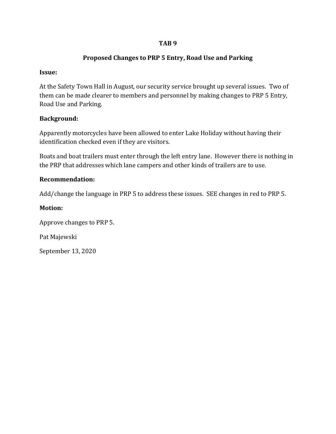## **TAB 9**

## **Proposed Changes to PRP 5 Entry, Road Use and Parking**

## **Issue:**

At the Safety Town Hall in August, our security service brought up several issues. Two of them can be made clearer to members and personnel by making changes to PRP 5 Entry, Road Use and Parking.

## **Background:**

Apparently motorcycles have been allowed to enter Lake Holiday without having their identification checked even if they are visitors.

Boats and boat trailers must enter through the left entry lane. However there is nothing in the PRP that addresses which lane campers and other kinds of trailers are to use.

## **Recommendation:**

Add/change the language in PRP 5 to address these issues. SEE changes in red to PRP 5.

## **Motion:**

Approve changes to PRP 5.

Pat Majewski

September 13, 2020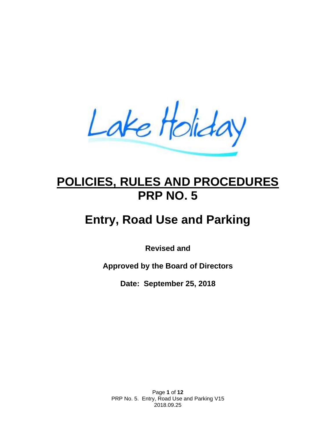Lake Holiday

## **POLICIES, RULES AND PROCEDURES PRP NO. 5**

# **Entry, Road Use and Parking**

**Revised and**

**Approved by the Board of Directors**

**Date: September 25, 2018**

Page **1** of **12** PRP No. 5. Entry, Road Use and Parking V15 2018.09.25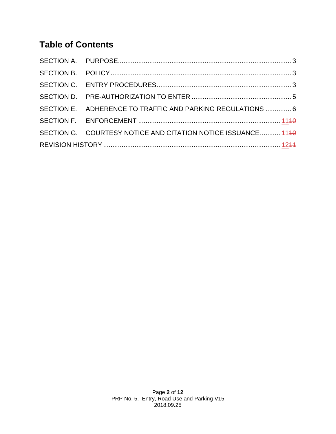## **Table of Contents**

|  | SECTION E. ADHERENCE TO TRAFFIC AND PARKING REGULATIONS  6   |  |  |  |  |
|--|--------------------------------------------------------------|--|--|--|--|
|  |                                                              |  |  |  |  |
|  | SECTION G. COURTESY NOTICE AND CITATION NOTICE ISSUANCE 1140 |  |  |  |  |
|  |                                                              |  |  |  |  |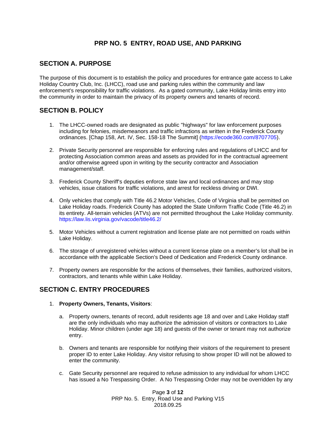## **PRP NO. 5 ENTRY, ROAD USE, AND PARKING**

## <span id="page-3-0"></span>**SECTION A. PURPOSE**

The purpose of this document is to establish the policy and procedures for entrance gate access to Lake Holiday Country Club, Inc. (LHCC), road use and parking rules within the community and law enforcement's responsibility for traffic violations. As a gated community, Lake Holiday limits entry into the community in order to maintain the privacy of its property owners and tenants of record.

## <span id="page-3-1"></span>**SECTION B. POLICY**

- 1. The LHCC-owned roads are designated as public "highways" for law enforcement purposes including for felonies, misdemeanors and traffic infractions as written in the Frederick County ordinances. [Chap 158, Art. IV, Sec. 158-18 The Summit] (https://ecode360.com/8707705).
- 2. Private Security personnel are responsible for enforcing rules and regulations of LHCC and for protecting Association common areas and assets as provided for in the contractual agreement and/or otherwise agreed upon in writing by the security contractor and Association management/staff.
- 3. Frederick County Sheriff's deputies enforce state law and local ordinances and may stop vehicles, issue citations for traffic violations, and arrest for reckless driving or DWI.
- 4. Only vehicles that comply with Title 46.2 Motor Vehicles, Code of Virginia shall be permitted on Lake Holiday roads. Frederick County has adopted the State Uniform Traffic Code (Title 46.2) in its entirety. All-terrain vehicles (ATVs) are not permitted throughout the Lake Holiday community. https://law.lis.virginia.gov/vacode/title46.2/
- 5. Motor Vehicles without a current registration and license plate are not permitted on roads within Lake Holiday.
- 6. The storage of unregistered vehicles without a current license plate on a member's lot shall be in accordance with the applicable Section's Deed of Dedication and Frederick County ordinance.
- 7. Property owners are responsible for the actions of themselves, their families, authorized visitors, contractors, and tenants while within Lake Holiday.

## <span id="page-3-2"></span>**SECTION C. ENTRY PROCEDURES**

- 1. **Property Owners, Tenants, Visitors**:
	- a. Property owners, tenants of record, adult residents age 18 and over and Lake Holiday staff are the only individuals who may authorize the admission of visitors or contractors to Lake Holiday. Minor children (under age 18) and guests of the owner or tenant may not authorize entry.
	- b. Owners and tenants are responsible for notifying their visitors of the requirement to present proper ID to enter Lake Holiday. Any visitor refusing to show proper ID will not be allowed to enter the community.
	- c. Gate Security personnel are required to refuse admission to any individual for whom LHCC has issued a No Trespassing Order. A No Trespassing Order may not be overridden by any

Page **3** of **12** PRP No. 5. Entry, Road Use and Parking V15 2018.09.25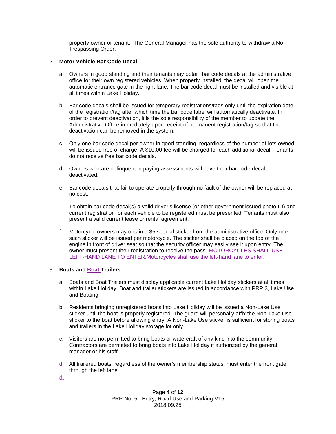property owner or tenant. The General Manager has the sole authority to withdraw a No Trespassing Order.

#### 2. **Motor Vehicle Bar Code Decal**:

- a. Owners in good standing and their tenants may obtain bar code decals at the administrative office for their own registered vehicles. When properly installed, the decal will open the automatic entrance gate in the right lane. The bar code decal must be installed and visible at all times within Lake Holiday.
- b. Bar code decals shall be issued for temporary registrations/tags only until the expiration date of the registration/tag after which time the bar code label will automatically deactivate. In order to prevent deactivation, it is the sole responsibility of the member to update the Administrative Office immediately upon receipt of permanent registration/tag so that the deactivation can be removed in the system.
- c. Only one bar code decal per owner in good standing, regardless of the number of lots owned, will be issued free of charge. A \$10.00 fee will be charged for each additional decal. Tenants do not receive free bar code decals.
- d. Owners who are delinquent in paying assessments will have their bar code decal deactivated.
- e. Bar code decals that fail to operate properly through no fault of the owner will be replaced at no cost.

To obtain bar code decal(s) a valid driver's license (or other government issued photo ID) and current registration for each vehicle to be registered must be presented. Tenants must also present a valid current lease or rental agreement.

f. Motorcycle owners may obtain a \$5 special sticker from the administrative office. Only one such sticker will be issued per motorcycle. The sticker shall be placed on the top of the engine in front of driver seat so that the security officer may easily see it upon entry. The owner must present their registration to receive the pass. MOTORCYCLES SHALL USE LEFT-HAND LANE TO ENTER.Motorcycles shall use the left-hand lane to enter.

#### 3. **Boats and Boat Trailers**:

- a. Boats and Boat Trailers must display applicable current Lake Holiday stickers at all times within Lake Holiday. Boat and trailer stickers are issued in accordance with PRP 3, Lake Use and Boating.
- b. Residents bringing unregistered boats into Lake Holiday will be issued a Non-Lake Use sticker until the boat is properly registered. The guard will personally affix the Non-Lake Use sticker to the boat before allowing entry. A Non-Lake Use sticker is sufficient for storing boats and trailers in the Lake Holiday storage lot only.
- c. Visitors are not permitted to bring boats or watercraft of any kind into the community. Contractors are permitted to bring boats into Lake Holiday if authorized by the general manager or his staff.
- d. All trailered boats, regardless of the owner's membership status, must enter the front gate through the left lane.
- d.

Page **4** of **12** PRP No. 5. Entry, Road Use and Parking V15 2018.09.25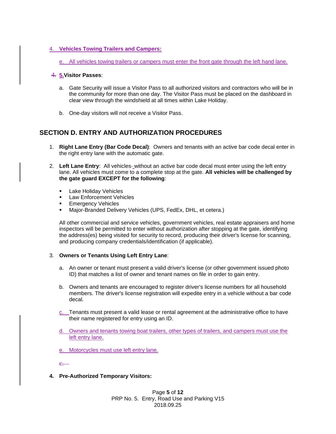#### 4. **Vehicles Towing Trailers and Campers:**

e. All vehicles towing trailers or campers must enter the front gate through the left hand lane.

#### 4. **5.Visitor Passes**:

- a. Gate Security will issue a Visitor Pass to all authorized visitors and contractors who will be in the community for more than one day. The Visitor Pass must be placed on the dashboard in clear view through the windshield at all times within Lake Holiday.
- b. One-day visitors will not receive a Visitor Pass.

## <span id="page-5-0"></span>**SECTION D. ENTRY AND AUTHORIZATION PROCEDURES**

- 1. **Right Lane Entry (Bar Code Decal)**: Owners and tenants with an active bar code decal enter in the right entry lane with the automatic gate.
- 2. Left Lane Entry: All vehicles- without an active bar code decal must enter using the left entry lane. All vehicles must come to a complete stop at the gate. **All vehicles will be challenged by the gate guard EXCEPT for the following**:
	- **E** Lake Holiday Vehicles
	- Law Enforcement Vehicles
	- **Emergency Vehicles**
	- Major-Branded Delivery Vehicles (UPS, FedEx, DHL, et cetera.)

All other commercial and service vehicles, government vehicles, real estate appraisers and home inspectors will be permitted to enter without authorization after stopping at the gate, identifying the address(es) being visited for security to record, producing their driver's license for scanning, and producing company credentials/identification (if applicable).

#### 3. **Owners or Tenants Using Left Entry Lane**:

- a. An owner or tenant must present a valid driver's license (or other government issued photo ID) that matches a list of owner and tenant names on file in order to gain entry.
- b. Owners and tenants are encouraged to register driver's license numbers for all household members. The driver's license registration will expedite entry in a vehicle without a bar code decal.
- c. Tenants must present a valid lease or rental agreement at the administrative office to have their name registered for entry using an ID.
- d. Owners and tenants towing boat trailers, other types of trailers, and campers must use the left entry lane.
- e. Motorcycles must use left entry lane.

 $\rho$ 

**4. Pre-Authorized Temporary Visitors:**

Page **5** of **12** PRP No. 5. Entry, Road Use and Parking V15 2018.09.25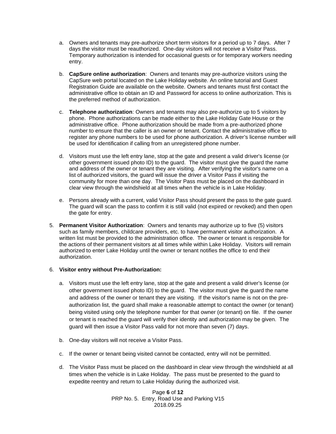- a. Owners and tenants may pre-authorize short term visitors for a period up to 7 days. After 7 days the visitor must be reauthorized. One-day visitors will not receive a Visitor Pass. Temporary authorization is intended for occasional guests or for temporary workers needing entry.
- b. **CapSure online authorization**: Owners and tenants may pre-authorize visitors using the CapSure web portal located on the Lake Holiday website. An online tutorial and Guest Registration Guide are available on the website. Owners and tenants must first contact the administrative office to obtain an ID and Password for access to online authorization. This is the preferred method of authorization.
- c. **Telephone authorization**: Owners and tenants may also pre-authorize up to 5 visitors by phone. Phone authorizations can be made either to the Lake Holiday Gate House or the administrative office. Phone authorization should be made from a pre-authorized phone number to ensure that the caller is an owner or tenant. Contact the administrative office to register any phone numbers to be used for phone authorization. A driver's license number will be used for identification if calling from an unregistered phone number.
- d. Visitors must use the left entry lane, stop at the gate and present a valid driver's license (or other government issued photo ID) to the guard. The visitor must give the guard the name and address of the owner or tenant they are visiting. After verifying the visitor's name on a list of authorized visitors, the guard will issue the driver a Visitor Pass if visiting the community for more than one day. The Visitor Pass must be placed on the dashboard in clear view through the windshield at all times when the vehicle is in Lake Holiday.
- e. Persons already with a current, valid Visitor Pass should present the pass to the gate guard. The guard will scan the pass to confirm it is still valid (not expired or revoked) and then open the gate for entry.
- 5. **Permanent Visitor Authorization**:Owners and tenants may authorize up to five (5) visitors such as family members, childcare providers, etc. to have permanent visitor authorization. A written list must be provided to the administration office. The owner or tenant is responsible for the actions of their permanent visitors at all times while within Lake Holiday. Visitors will remain authorized to enter Lake Holiday until the owner or tenant notifies the office to end their authorization.

#### <span id="page-6-0"></span>6. **Visitor entry without Pre-Authorization:**

- a. Visitors must use the left entry lane, stop at the gate and present a valid driver's license (or other government issued photo ID) to the guard. The visitor must give the guard the name and address of the owner or tenant they are visiting. If the visitor's name is not on the preauthorization list, the guard shall make a reasonable attempt to contact the owner (or tenant) being visited using only the telephone number for that owner (or tenant) on file. If the owner or tenant is reached the guard will verify their identity and authorization may be given. The guard will then issue a Visitor Pass valid for not more than seven (7) days.
- b. One-day visitors will not receive a Visitor Pass.
- c. If the owner or tenant being visited cannot be contacted, entry will not be permitted.
- d. The Visitor Pass must be placed on the dashboard in clear view through the windshield at all times when the vehicle is in Lake Holiday. The pass must be presented to the guard to expedite reentry and return to Lake Holiday during the authorized visit.

Page **6** of **12** PRP No. 5. Entry, Road Use and Parking V15 2018.09.25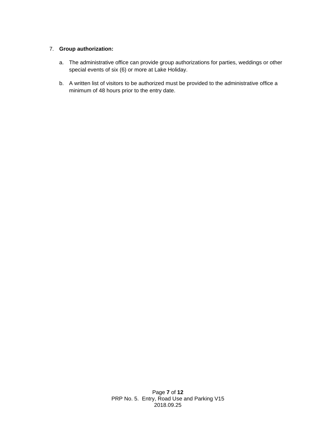### 7. **Group authorization:**

- a. The administrative office can provide group authorizations for parties, weddings or other special events of six (6) or more at Lake Holiday.
- b. A written list of visitors to be authorized must be provided to the administrative office a minimum of 48 hours prior to the entry date.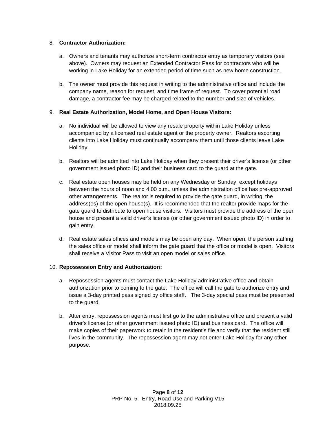#### 8. **Contractor Authorization:**

- a. Owners and tenants may authorize short-term contractor entry as temporary visitors (see above). Owners may request an Extended Contractor Pass for contractors who will be working in Lake Holiday for an extended period of time such as new home construction.
- b. The owner must provide this request in writing to the administrative office and include the company name, reason for request, and time frame of request. To cover potential road damage, a contractor fee may be charged related to the number and size of vehicles.

#### 9. **Real Estate Authorization, Model Home, and Open House Visitors:**

- a. No individual will be allowed to view any resale property within Lake Holiday unless accompanied by a licensed real estate agent or the property owner. Realtors escorting clients into Lake Holiday must continually accompany them until those clients leave Lake Holiday.
- b. Realtors will be admitted into Lake Holiday when they present their driver's license (or other government issued photo ID) and their business card to the guard at the gate.
- c. Real estate open houses may be held on any Wednesday or Sunday, except holidays between the hours of noon and 4:00 p.m., unless the administration office has pre-approved other arrangements. The realtor is required to provide the gate guard, in writing, the address(es) of the open house(s). It is recommended that the realtor provide maps for the gate guard to distribute to open house visitors. Visitors must provide the address of the open house and present a valid driver's license (or other government issued photo ID) in order to gain entry.
- d. Real estate sales offices and models may be open any day. When open, the person staffing the sales office or model shall inform the gate guard that the office or model is open. Visitors shall receive a Visitor Pass to visit an open model or sales office.

#### 10. **Repossession Entry and Authorization:**

- a. Repossession agents must contact the Lake Holiday administrative office and obtain authorization prior to coming to the gate. The office will call the gate to authorize entry and issue a 3-day printed pass signed by office staff. The 3-day special pass must be presented to the guard.
- b. After entry, repossession agents must first go to the administrative office and present a valid driver's license (or other government issued photo ID) and business card. The office will make copies of their paperwork to retain in the resident's file and verify that the resident still lives in the community. The repossession agent may not enter Lake Holiday for any other purpose.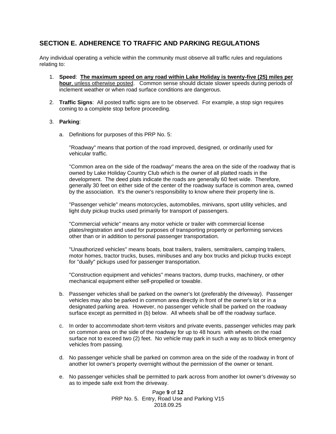## **SECTION E. ADHERENCE TO TRAFFIC AND PARKING REGULATIONS**

Any individual operating a vehicle within the community must observe all traffic rules and regulations relating to:

- 1. **Speed**: **The maximum speed on any road within Lake Holiday is twenty-five (25) miles per hour**, unless otherwise posted. Common sense should dictate slower speeds during periods of inclement weather or when road surface conditions are dangerous.
- 2. **Traffic Signs**: All posted traffic signs are to be observed. For example, a stop sign requires coming to a complete stop before proceeding.

#### 3. **Parking**:

a. Definitions for purposes of this PRP No. 5:

"Roadway" means that portion of the road improved, designed, or ordinarily used for vehicular traffic.

"Common area on the side of the roadway" means the area on the side of the roadway that is owned by Lake Holiday Country Club which is the owner of all platted roads in the development. The deed plats indicate the roads are generally 60 feet wide. Therefore, generally 30 feet on either side of the center of the roadway surface is common area, owned by the association. It's the owner's responsibility to know where their property line is.

"Passenger vehicle" means motorcycles, automobiles, minivans, sport utility vehicles, and light duty pickup trucks used primarily for transport of passengers.

"Commercial vehicle" means any motor vehicle or trailer with commercial license plates/registration and used for purposes of transporting property or performing services other than or in addition to personal passenger transportation.

"Unauthorized vehicles" means boats, boat trailers, trailers, semitrailers, camping trailers, motor homes, tractor trucks, buses, minibuses and any box trucks and pickup trucks except for "dually" pickups used for passenger transportation.

"Construction equipment and vehicles" means tractors, dump trucks, machinery, or other mechanical equipment either self-propelled or towable.

- b. Passenger vehicles shall be parked on the owner's lot (preferably the driveway). Passenger vehicles may also be parked in common area directly in front of the owner's lot or in a designated parking area. However, no passenger vehicle shall be parked on the roadway surface except as permitted in (b) below. All wheels shall be off the roadway surface.
- c. In order to accommodate short-term visitors and private events, passenger vehicles may park on common area on the side of the roadway for up to 48 hours with wheels on the road surface not to exceed two (2) feet. No vehicle may park in such a way as to block emergency vehicles from passing.
- d. No passenger vehicle shall be parked on common area on the side of the roadway in front of another lot owner's property overnight without the permission of the owner or tenant.
- e. No passenger vehicles shall be permitted to park across from another lot owner's driveway so as to impede safe exit from the driveway.

Page **9** of **12** PRP No. 5. Entry, Road Use and Parking V15 2018.09.25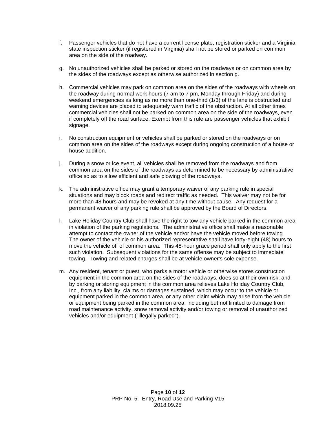- f. Passenger vehicles that do not have a current license plate, registration sticker and a Virginia state inspection sticker (if registered in Virginia) shall not be stored or parked on common area on the side of the roadway.
- g. No unauthorized vehicles shall be parked or stored on the roadways or on common area by the sides of the roadways except as otherwise authorized in section g.
- h. Commercial vehicles may park on common area on the sides of the roadways with wheels on the roadway during normal work hours (7 am to 7 pm, Monday through Friday) and during weekend emergencies as long as no more than one-third (1/3) of the lane is obstructed and warning devices are placed to adequately warn traffic of the obstruction. At all other times commercial vehicles shall not be parked on common area on the side of the roadways, even if completely off the road surface. Exempt from this rule are passenger vehicles that exhibit signage.
- i. No construction equipment or vehicles shall be parked or stored on the roadways or on common area on the sides of the roadways except during ongoing construction of a house or house addition.
- j. During a snow or ice event, all vehicles shall be removed from the roadways and from common area on the sides of the roadways as determined to be necessary by administrative office so as to allow efficient and safe plowing of the roadways.
- k. The administrative office may grant a temporary waiver of any parking rule in special situations and may block roads and redirect traffic as needed. This waiver may not be for more than 48 hours and may be revoked at any time without cause. Any request for a permanent waiver of any parking rule shall be approved by the Board of Directors.
- l. Lake Holiday Country Club shall have the right to tow any vehicle parked in the common area in violation of the parking regulations. The administrative office shall make a reasonable attempt to contact the owner of the vehicle and/or have the vehicle moved before towing. The owner of the vehicle or his authorized representative shall have forty-eight (48) hours to move the vehicle off of common area. This 48-hour grace period shall only apply to the first such violation. Subsequent violations for the same offense may be subject to immediate towing. Towing and related charges shall be at vehicle owner's sole expense.
- <span id="page-10-0"></span>m. Any resident, tenant or guest, who parks a motor vehicle or otherwise stores construction equipment in the common area on the sides of the roadways, does so at their own risk; and by parking or storing equipment in the common area relieves Lake Holiday Country Club, Inc., from any liability, claims or damages sustained, which may occur to the vehicle or equipment parked in the common area, or any other claim which may arise from the vehicle or equipment being parked in the common area; including but not limited to damage from road maintenance activity, snow removal activity and/or towing or removal of unauthorized vehicles and/or equipment ("illegally parked").

Page **10** of **12** PRP No. 5. Entry, Road Use and Parking V15 2018.09.25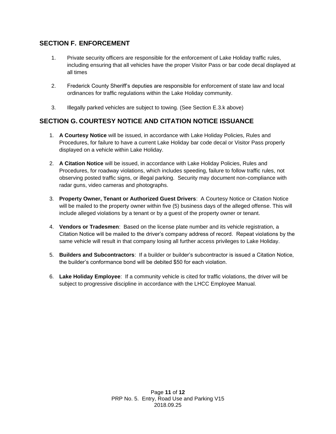## **SECTION F. ENFORCEMENT**

- 1. Private security officers are responsible for the enforcement of Lake Holiday traffic rules, including ensuring that all vehicles have the proper Visitor Pass or bar code decal displayed at all times
- 2. Frederick County Sheriff's deputies are responsible for enforcement of state law and local ordinances for traffic regulations within the Lake Holiday community.
- 3. Illegally parked vehicles are subject to towing. (See Section E.3.k above)

## <span id="page-11-0"></span>**SECTION G. COURTESY NOTICE AND CITATION NOTICE ISSUANCE**

- 1. **A Courtesy Notice** will be issued, in accordance with Lake Holiday Policies, Rules and Procedures, for failure to have a current Lake Holiday bar code decal or Visitor Pass properly displayed on a vehicle within Lake Holiday.
- 2. **A Citation Notice** will be issued, in accordance with Lake Holiday Policies, Rules and Procedures, for roadway violations, which includes speeding, failure to follow traffic rules, not observing posted traffic signs, or illegal parking. Security may document non-compliance with radar guns, video cameras and photographs.
- 3. **Property Owner, Tenant or Authorized Guest Drivers**: A Courtesy Notice or Citation Notice will be mailed to the property owner within five (5) business days of the alleged offense. This will include alleged violations by a tenant or by a guest of the property owner or tenant.
- 4. **Vendors or Tradesmen**: Based on the license plate number and its vehicle registration, a Citation Notice will be mailed to the driver's company address of record. Repeat violations by the same vehicle will result in that company losing all further access privileges to Lake Holiday.
- 5. **Builders and Subcontractors**: If a builder or builder's subcontractor is issued a Citation Notice, the builder's conformance bond will be debited \$50 for each violation.
- 6. **Lake Holiday Employee**: If a community vehicle is cited for traffic violations, the driver will be subject to progressive discipline in accordance with the LHCC Employee Manual.